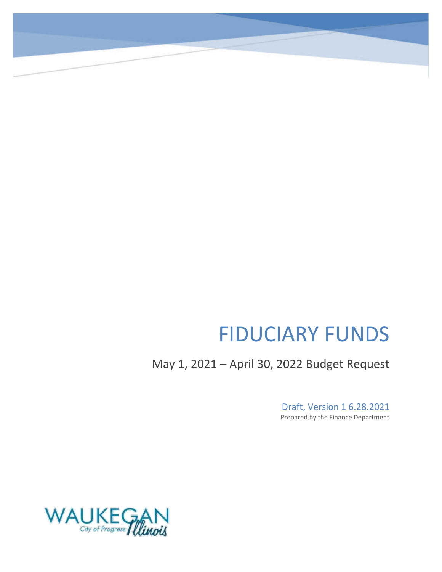# FIDUCIARY FUNDS

May 1, 2021 – April 30, 2022 Budget Request

Draft, Version 1 6.28.2021 Prepared by the Finance Department

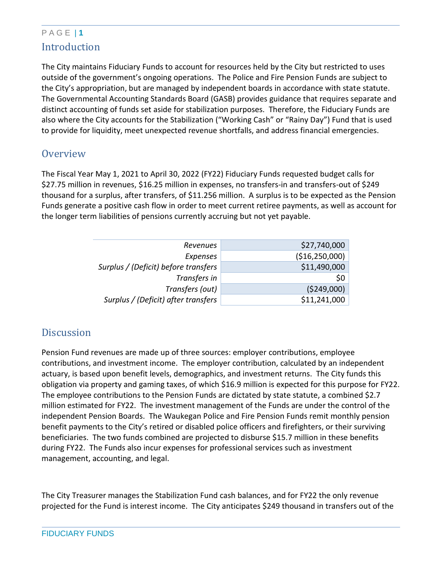### P A G E | **1** Introduction

The City maintains Fiduciary Funds to account for resources held by the City but restricted to uses outside of the government's ongoing operations. The Police and Fire Pension Funds are subject to the City's appropriation, but are managed by independent boards in accordance with state statute. The Governmental Accounting Standards Board (GASB) provides guidance that requires separate and distinct accounting of funds set aside for stabilization purposes. Therefore, the Fiduciary Funds are also where the City accounts for the Stabilization ("Working Cash" or "Rainy Day") Fund that is used to provide for liquidity, meet unexpected revenue shortfalls, and address financial emergencies.

### **Overview**

The Fiscal Year May 1, 2021 to April 30, 2022 (FY22) Fiduciary Funds requested budget calls for \$27.75 million in revenues, \$16.25 million in expenses, no transfers-in and transfers-out of \$249 thousand for a surplus, after transfers, of \$11.256 million. A surplus is to be expected as the Pension Funds generate a positive cash flow in order to meet current retiree payments, as well as account for the longer term liabilities of pensions currently accruing but not yet payable.

| \$27,740,000   | Revenues                             |
|----------------|--------------------------------------|
| (\$16,250,000) | Expenses                             |
| \$11,490,000   | Surplus / (Deficit) before transfers |
| \$0            | Transfers in                         |
| (5249,000)     | Transfers (out)                      |
| \$11,241,000   | Surplus / (Deficit) after transfers  |
|                |                                      |

### **Discussion**

Pension Fund revenues are made up of three sources: employer contributions, employee contributions, and investment income. The employer contribution, calculated by an independent actuary, is based upon benefit levels, demographics, and investment returns. The City funds this obligation via property and gaming taxes, of which \$16.9 million is expected for this purpose for FY22. The employee contributions to the Pension Funds are dictated by state statute, a combined \$2.7 million estimated for FY22. The investment management of the Funds are under the control of the independent Pension Boards. The Waukegan Police and Fire Pension Funds remit monthly pension benefit payments to the City's retired or disabled police officers and firefighters, or their surviving beneficiaries. The two funds combined are projected to disburse \$15.7 million in these benefits during FY22. The Funds also incur expenses for professional services such as investment management, accounting, and legal.

The City Treasurer manages the Stabilization Fund cash balances, and for FY22 the only revenue projected for the Fund is interest income. The City anticipates \$249 thousand in transfers out of the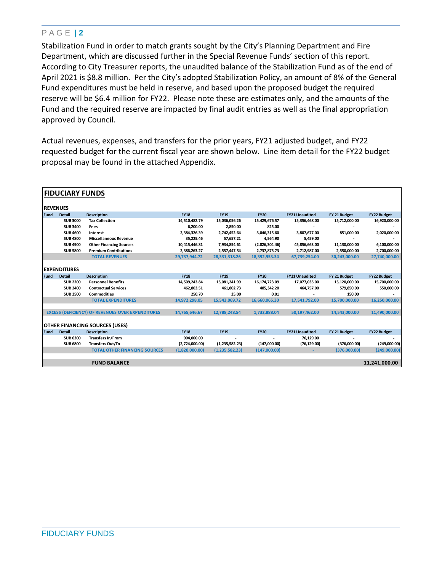#### P A G E | **2**

Stabilization Fund in order to match grants sought by the City's Planning Department and Fire Department, which are discussed further in the Special Revenue Funds' section of this report. According to City Treasurer reports, the unaudited balance of the Stabilization Fund as of the end of April 2021 is \$8.8 million. Per the City's adopted Stabilization Policy, an amount of 8% of the General Fund expenditures must be held in reserve, and based upon the proposed budget the required reserve will be \$6.4 million for FY22. Please note these are estimates only, and the amounts of the Fund and the required reserve are impacted by final audit entries as well as the final appropriation approved by Council.

Actual revenues, expenses, and transfers for the prior years, FY21 adjusted budget, and FY22 requested budget for the current fiscal year are shown below. Line item detail for the FY22 budget proposal may be found in the attached Appendix.

|                 | <b>FIDUCIARY FUNDS</b> |                                                          |                |                  |                |                       |               |                    |
|-----------------|------------------------|----------------------------------------------------------|----------------|------------------|----------------|-----------------------|---------------|--------------------|
| <b>REVENUES</b> |                        |                                                          |                |                  |                |                       |               |                    |
| Fund            | <b>Detail</b>          | <b>Description</b>                                       | <b>FY18</b>    | <b>FY19</b>      | <b>FY20</b>    | <b>FY21 Unaudited</b> | FY 21 Budget  | <b>FY22 Budget</b> |
|                 | <b>SUB 3000</b>        | <b>Tax Collection</b>                                    | 14,510,482.79  | 15,036,056.26    | 15,429,676.57  | 15,356,468.00         | 15,712,000.00 | 16,920,000.00      |
|                 | <b>SUB 3400</b>        | Fees                                                     | 6,200.00       | 2.850.00         | 825.00         |                       |               |                    |
|                 | <b>SUB 4600</b>        | Interest                                                 | 2,384,326.39   | 2,742,452.64     | 3,046,315.60   | 3.807.677.00          | 851.000.00    | 2,020,000.00       |
|                 | <b>SUB 4800</b>        | <b>Miscellaneous Revenue</b>                             | 35.225.46      | 57.657.21        | 4.564.90       | 5.459.00              |               |                    |
|                 | <b>SUB4900</b>         | <b>Other Financing Sources</b>                           | 10,415,446.81  | 7,934,854.61     | (2,826,304.46) | 45,856,663.00         | 11,130,000.00 | 6,100,000.00       |
|                 | <b>SUB 5800</b>        | <b>Premium Contributions</b>                             | 2,386,263.27   | 2,557,447.54     | 2,737,875.73   | 2,712,987.00          | 2,550,000.00  | 2,700,000.00       |
|                 |                        | <b>TOTAL REVENUES</b>                                    | 29,737,944.72  | 28,331,318.26    | 18,392,953.34  | 67,739,254.00         | 30,243,000.00 | 27,740,000.00      |
|                 |                        |                                                          |                |                  |                |                       |               |                    |
|                 | <b>EXPENDITURES</b>    |                                                          |                |                  |                |                       |               |                    |
| Fund            | <b>Detail</b>          | <b>Description</b>                                       | <b>FY18</b>    | <b>FY19</b>      | <b>FY20</b>    | <b>FY21 Unaudited</b> | FY 21 Budget  | <b>FY22 Budget</b> |
|                 | <b>SUB 2200</b>        | <b>Personnel Benefits</b>                                | 14,509,243.84  | 15,081,241.99    | 16,174,723.09  | 17,077,035.00         | 15,120,000.00 | 15,700,000.00      |
|                 | <b>SUB 2400</b>        | <b>Contractual Services</b>                              | 462,803.51     | 461,802.73       | 485,342.20     | 464,757.00            | 579,850.00    | 550,000.00         |
|                 | <b>SUB 2500</b>        | <b>Commodities</b>                                       | 250.70         | 25.00            | 0.01           |                       | 150.00        |                    |
|                 |                        | <b>TOTAL EXPENDITURES</b>                                | 14,972,298.05  | 15,543,069.72    | 16,660,065.30  | 17,541,792.00         | 15,700,000.00 | 16,250,000.00      |
|                 |                        |                                                          |                |                  |                |                       |               |                    |
|                 |                        | <b>EXCESS (DEFICIENCY) OF REVENUES OVER EXPENDITURES</b> | 14,765,646.67  | 12,788,248.54    | 1,732,888.04   | 50,197,462.00         | 14,543,000.00 | 11,490,000.00      |
|                 |                        |                                                          |                |                  |                |                       |               |                    |
|                 |                        | <b>OTHER FINANCING SOURCES (USES)</b>                    |                |                  |                |                       |               |                    |
| Fund            | <b>Detail</b>          | <b>Description</b>                                       | <b>FY18</b>    | <b>FY19</b>      | <b>FY20</b>    | <b>FY21 Unaudited</b> | FY 21 Budget  | <b>FY22 Budget</b> |
|                 | <b>SUB 6300</b>        | <b>Transfers In/From</b>                                 | 904,000.00     |                  |                | 76,129.00             |               |                    |
|                 | <b>SUB 6800</b>        | <b>Transfers Out/To</b>                                  | (2,724,000.00) | (1, 235, 582.23) | (147,000.00)   | (76, 129.00)          | (376,000.00)  | (249,000.00)       |
|                 |                        | <b>TOTAL OTHER FINANCING SOURCES</b>                     | (1,820,000.00) | (1,235,582.23)   | (147,000.00)   |                       | (376,000.00)  | (249,000.00)       |
|                 |                        |                                                          |                |                  |                |                       |               |                    |
|                 |                        | <b>FUND BALANCE</b>                                      |                |                  |                |                       |               | 11.241.000.00      |
|                 |                        |                                                          |                |                  |                |                       |               |                    |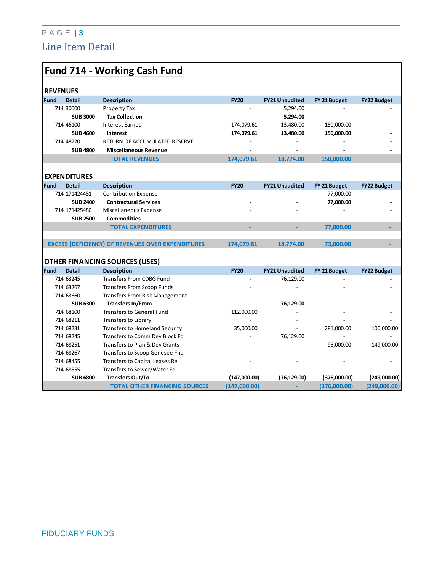### P A G E | **3** Line Item Detail

|                              | <b>Fund 714 - Working Cash Fund</b>                      |              |                       |              |                    |
|------------------------------|----------------------------------------------------------|--------------|-----------------------|--------------|--------------------|
| <b>REVENUES</b>              |                                                          |              |                       |              |                    |
| <b>Fund</b><br><b>Detail</b> | <b>Description</b>                                       | <b>FY20</b>  | <b>FY21 Unaudited</b> | FY 21 Budget | <b>FY22 Budget</b> |
| 714 30000                    | Property Tax                                             |              | 5,294.00              |              |                    |
|                              | <b>Tax Collection</b><br><b>SUB 3000</b>                 |              | 5,294.00              |              |                    |
| 714 46100                    | <b>Interest Earned</b>                                   | 174,079.61   | 13,480.00             | 150,000.00   |                    |
|                              | <b>SUB 4600</b><br>Interest                              | 174,079.61   | 13,480.00             | 150,000.00   |                    |
| 714 48720                    | RETURN OF ACCUMULATED RESERVE                            |              |                       |              |                    |
|                              | <b>SUB 4800</b><br><b>Miscellaneous Revenue</b>          |              |                       |              |                    |
|                              | <b>TOTAL REVENUES</b>                                    | 174,079.61   | 18,774.00             | 150,000.00   |                    |
|                              |                                                          |              |                       |              |                    |
| <b>EXPENDITURES</b>          |                                                          |              |                       |              |                    |
| <b>Fund</b><br><b>Detail</b> | <b>Description</b>                                       | <b>FY20</b>  | <b>FY21 Unaudited</b> | FY 21 Budget | <b>FY22 Budget</b> |
| 714 171424481                | <b>Contribution Expense</b>                              |              |                       | 77,000.00    |                    |
|                              | <b>Contractural Services</b><br><b>SUB 2400</b>          |              |                       | 77,000.00    |                    |
| 714 171425480                | Miscellaneous Expense                                    |              |                       |              |                    |
|                              | <b>SUB 2500</b><br><b>Commodities</b>                    |              |                       |              |                    |
|                              | <b>TOTAL EXPENDITURES</b>                                |              |                       | 77,000.00    |                    |
|                              |                                                          |              |                       |              |                    |
|                              | <b>EXCESS (DEFICIENCY) OF REVENUES OVER EXPENDITURES</b> | 174,079.61   | 18,774.00             | 73,000.00    |                    |
|                              |                                                          |              |                       |              |                    |
|                              | <b>OTHER FINANCING SOURCES (USES)</b>                    |              |                       |              |                    |
| Fund<br><b>Detail</b>        | <b>Description</b>                                       | <b>FY20</b>  | <b>FY21 Unaudited</b> | FY 21 Budget | <b>FY22 Budget</b> |
| 714 63245                    | <b>Transfers From CDBG Fund</b>                          |              | 76,129.00             |              |                    |
| 714 63267                    | <b>Transfers From Scoop Funds</b>                        |              |                       |              |                    |
| 714 63660                    | <b>Transfers From Risk Management</b>                    |              |                       |              |                    |
|                              | <b>SUB 6300</b><br><b>Transfers In/From</b>              |              | 76,129.00             |              |                    |
| 714 68100                    | Transfers to General Fund                                | 112,000.00   |                       |              |                    |
| 714 68211                    | Transfers to Library                                     |              |                       |              |                    |
| 714 68231                    | <b>Transfers to Homeland Security</b>                    | 35,000.00    |                       | 281,000.00   | 100,000.00         |
| 714 68245                    | Transfers to Comm Dev Block Fd                           |              | 76,129.00             |              |                    |
| 714 68251                    | Transfers to Plan & Dev Grants                           |              |                       | 95,000.00    | 149,000.00         |
| 714 68267                    | Transfers to Scoop Genesee Fnd                           |              |                       |              |                    |
| 714 68455                    | Transfers to Capital Leases Re                           |              |                       |              |                    |
| 714 68555                    | Transfers to Sewer/Water Fd.                             |              |                       |              |                    |
|                              | <b>Transfers Out/To</b><br><b>SUB 6800</b>               | (147,000.00) | (76, 129.00)          | (376,000.00) | (249,000.00)       |
|                              | <b>TOTAL OTHER FINANCING SOURCES</b>                     | (147,000.00) |                       | (376,000.00) | (249,000.00)       |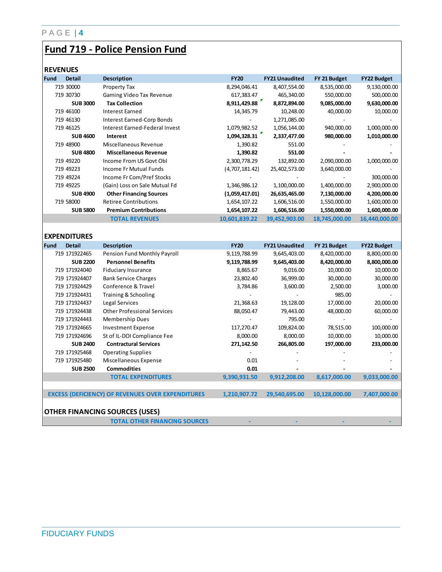### **Fund 719 - Police Pension Fund**

#### **REVENUES**

| <b>Fund</b> | <b>Detail</b>       | <b>Description</b>                                       | <b>FY20</b>    | <b>FY21 Unaudited</b> | FY 21 Budget  | <b>FY22 Budget</b> |
|-------------|---------------------|----------------------------------------------------------|----------------|-----------------------|---------------|--------------------|
|             | 719 30000           | Property Tax                                             | 8,294,046.41   | 8,407,554.00          | 8,535,000.00  | 9,130,000.00       |
|             | 719 30730           | Gaming Video Tax Revenue                                 | 617,383.47     | 465,340.00            | 550,000.00    | 500,000.00         |
|             | <b>SUB 3000</b>     | <b>Tax Collection</b>                                    | 8,911,429.88   | 8,872,894.00          | 9,085,000.00  | 9,630,000.00       |
|             | 719 46100           | <b>Interest Earned</b>                                   | 14,345.79      | 10,248.00             | 40,000.00     | 10,000.00          |
|             | 719 46130           | Interest Earned-Corp Bonds                               |                | 1,271,085.00          |               |                    |
|             | 719 46125           | Interest Earned-Federal Invest                           | 1,079,982.52   | 1,056,144.00          | 940,000.00    | 1,000,000.00       |
|             | <b>SUB 4600</b>     | Interest                                                 | 1,094,328.31   | 2,337,477.00          | 980,000.00    | 1,010,000.00       |
|             | 719 48900           | Miscellaneous Revenue                                    | 1,390.82       | 551.00                |               |                    |
|             | <b>SUB 4800</b>     | <b>Miscellaneous Revenue</b>                             | 1,390.82       | 551.00                |               |                    |
|             | 719 49220           | Income From US Govt Obl                                  | 2,300,778.29   | 132,892.00            | 2,090,000.00  | 1,000,000.00       |
|             | 719 49223           | Income Fr Mutual Funds                                   | (4,707,181.42) | 25,402,573.00         | 3,640,000.00  |                    |
|             | 719 49224           | Income Fr Com/Pref Stocks                                |                |                       |               | 300,000.00         |
|             | 719 49225           | (Gain) Loss on Sale Mutual Fd                            | 1,346,986.12   | 1,100,000.00          | 1,400,000.00  | 2,900,000.00       |
|             | <b>SUB 4900</b>     | <b>Other Financing Sources</b>                           | (1,059,417.01) | 26,635,465.00         | 7,130,000.00  | 4,200,000.00       |
|             | 719 58000           | <b>Retiree Contributions</b>                             | 1,654,107.22   | 1,606,516.00          | 1,550,000.00  | 1,600,000.00       |
|             | <b>SUB 5800</b>     | <b>Premium Contributions</b>                             | 1,654,107.22   | 1,606,516.00          | 1,550,000.00  | 1,600,000.00       |
|             |                     | <b>TOTAL REVENUES</b>                                    | 10,601,839.22  | 39,452,903.00         | 18,745,000.00 | 16,440,000.00      |
|             |                     |                                                          |                |                       |               |                    |
|             | <b>EXPENDITURES</b> |                                                          |                |                       |               |                    |
| <b>Fund</b> | <b>Detail</b>       | <b>Description</b>                                       | <b>FY20</b>    | <b>FY21 Unaudited</b> | FY 21 Budget  | <b>FY22 Budget</b> |
|             | 719 171922465       | Pension Fund Monthly Payroll                             | 9,119,788.99   | 9,645,403.00          | 8,420,000.00  | 8,800,000.00       |
|             | <b>SUB 2200</b>     | <b>Personnel Benefits</b>                                | 9,119,788.99   | 9,645,403.00          | 8,420,000.00  | 8,800,000.00       |
|             | 719 171924040       | <b>Fiduciary Insurance</b>                               | 8,865.67       | 9,016.00              | 10,000.00     | 10,000.00          |
|             | 719 171924407       | <b>Bank Service Charges</b>                              | 23,802.40      | 36,999.00             | 30,000.00     | 30,000.00          |
|             | 719 171924429       | Conference & Travel                                      | 3,784.86       | 3,600.00              | 2,500.00      | 3,000.00           |
|             | 719 171924431       | Training & Schooling                                     |                |                       | 985.00        |                    |
|             | 719 171924437       | Legal Services                                           | 21,368.63      | 19,128.00             | 17,000.00     | 20,000.00          |
|             | 719 171924438       | <b>Other Professional Services</b>                       | 88,050.47      | 79,443.00             | 48,000.00     | 60,000.00          |
|             | 719 171924443       | <b>Membership Dues</b>                                   |                | 795.00                |               |                    |
|             | 719 171924665       | <b>Investment Expense</b>                                | 117,270.47     | 109,824.00            | 78,515.00     | 100,000.00         |
|             | 719 171924696       | St of IL-DOI Compliance Fee                              | 8,000.00       | 8,000.00              | 10,000.00     | 10,000.00          |
|             | <b>SUB 2400</b>     | <b>Contractural Services</b>                             | 271,142.50     | 266,805.00            | 197,000.00    | 233,000.00         |
|             | 719 171925468       | <b>Operating Supplies</b>                                |                |                       |               |                    |
|             | 719 171925480       | Miscellaneous Expense                                    | 0.01           |                       |               |                    |
|             | <b>SUB 2500</b>     | <b>Commodities</b>                                       | 0.01           |                       |               |                    |
|             |                     | <b>TOTAL EXPENDITURES</b>                                | 9,390,931.50   | 9,912,208.00          | 8,617,000.00  | 9,033,000.00       |
|             |                     |                                                          |                |                       |               |                    |
|             |                     | <b>EXCESS (DEFICIENCY) OF REVENUES OVER EXPENDITURES</b> | 1,210,907.72   | 29,540,695.00         | 10,128,000.00 | 7,407,000.00       |
|             |                     |                                                          |                |                       |               |                    |
|             |                     | <b>OTHER FINANCING SOURCES (USES)</b>                    |                |                       |               |                    |
|             |                     | <b>TOTAL OTHER FINANCING SOURCES</b>                     |                |                       |               |                    |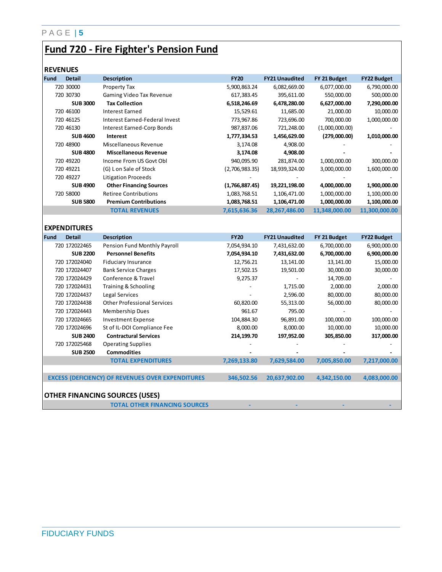#### P A G E | **5**

### **Fund 720 - Fire Fighter's Pension Fund**

#### **REVENUES**

| <b>Fund</b> | <b>Detail</b>   | <b>Description</b>             | <b>FY20</b>    | <b>FY21 Unaudited</b> | FY 21 Budget   | <b>FY22 Budget</b> |
|-------------|-----------------|--------------------------------|----------------|-----------------------|----------------|--------------------|
|             | 720 30000       | Property Tax                   | 5,900,863.24   | 6,082,669.00          | 6,077,000.00   | 6,790,000.00       |
|             | 720 30730       | Gaming Video Tax Revenue       | 617,383.45     | 395,611.00            | 550,000.00     | 500,000.00         |
|             | <b>SUB 3000</b> | <b>Tax Collection</b>          | 6,518,246.69   | 6,478,280.00          | 6,627,000.00   | 7,290,000.00       |
|             | 720 46100       | Interest Earned                | 15,529.61      | 11,685.00             | 21,000.00      | 10,000.00          |
|             | 720 46125       | Interest Earned-Federal Invest | 773,967.86     | 723,696.00            | 700,000.00     | 1,000,000.00       |
|             | 720 46130       | Interest Earned-Corp Bonds     | 987,837.06     | 721,248.00            | (1,000,000.00) |                    |
|             | <b>SUB 4600</b> | Interest                       | 1,777,334.53   | 1,456,629.00          | (279,000.00)   | 1,010,000.00       |
|             | 720 48900       | Miscellaneous Revenue          | 3,174.08       | 4,908.00              |                |                    |
|             | <b>SUB 4800</b> | <b>Miscellaneous Revenue</b>   | 3,174.08       | 4,908.00              |                |                    |
|             | 720 49220       | Income From US Govt Obl        | 940,095.90     | 281,874.00            | 1,000,000.00   | 300,000.00         |
|             | 720 49221       | (G) L on Sale of Stock         | (2,706,983.35) | 18,939,324.00         | 3,000,000.00   | 1,600,000.00       |
|             | 720 49227       | Litigation Proceeds            |                |                       |                |                    |
|             | <b>SUB4900</b>  | <b>Other Financing Sources</b> | (1,766,887.45) | 19,221,198.00         | 4,000,000.00   | 1,900,000.00       |
|             | 720 58000       | <b>Retiree Contributions</b>   | 1,083,768.51   | 1,106,471.00          | 1,000,000.00   | 1,100,000.00       |
|             | <b>SUB 5800</b> | <b>Premium Contributions</b>   | 1,083,768.51   | 1,106,471.00          | 1,000,000.00   | 1,100,000.00       |
|             |                 | <b>TOTAL REVENUES</b>          | 7,615,636.36   | 28,267,486.00         | 11,348,000.00  | 11,300,000.00      |
|             |                 |                                |                |                       |                |                    |

**EXPENDITURES**

| Fund | <b>Detail</b>   | <b>Description</b>                                       | <b>FY20</b>  | <b>FY21 Unaudited</b> | FY 21 Budget | <b>FY22 Budget</b> |
|------|-----------------|----------------------------------------------------------|--------------|-----------------------|--------------|--------------------|
|      | 720 172022465   | Pension Fund Monthly Payroll                             | 7,054,934.10 | 7,431,632.00          | 6,700,000.00 | 6,900,000.00       |
|      | <b>SUB 2200</b> | <b>Personnel Benefits</b>                                | 7,054,934.10 | 7,431,632.00          | 6,700,000.00 | 6,900,000.00       |
|      | 720 172024040   | <b>Fiduciary Insurance</b>                               | 12,756.21    | 13,141.00             | 13,141.00    | 15,000.00          |
|      | 720 172024407   | <b>Bank Service Charges</b>                              | 17,502.15    | 19,501.00             | 30,000.00    | 30,000.00          |
|      | 720 172024429   | Conference & Travel                                      | 9,275.37     |                       | 14,709.00    |                    |
|      | 720 172024431   | Training & Schooling                                     |              | 1,715.00              | 2,000.00     | 2,000.00           |
|      | 720 172024437   | Legal Services                                           |              | 2,596.00              | 80,000.00    | 80,000.00          |
|      | 720 172024438   | <b>Other Professional Services</b>                       | 60,820.00    | 55,313.00             | 56,000.00    | 80,000.00          |
|      | 720 172024443   | Membership Dues                                          | 961.67       | 795.00                |              |                    |
|      | 720 172024665   | <b>Investment Expense</b>                                | 104,884.30   | 96,891.00             | 100,000.00   | 100,000.00         |
|      | 720 172024696   | St of IL-DOI Compliance Fee                              | 8,000.00     | 8,000.00              | 10,000.00    | 10,000.00          |
|      | <b>SUB 2400</b> | <b>Contractural Services</b>                             | 214,199.70   | 197,952.00            | 305,850.00   | 317,000.00         |
|      | 720 172025468   | <b>Operating Supplies</b>                                |              |                       |              |                    |
|      | <b>SUB 2500</b> | <b>Commodities</b>                                       |              |                       |              |                    |
|      |                 | <b>TOTAL EXPENDITURES</b>                                | 7,269,133.80 | 7,629,584.00          | 7,005,850.00 | 7,217,000.00       |
|      |                 |                                                          |              |                       |              |                    |
|      |                 | <b>EXCESS (DEFICIENCY) OF REVENUES OVER EXPENDITURES</b> | 346,502.56   | 20,637,902.00         | 4,342,150.00 | 4,083,000.00       |
|      |                 |                                                          |              |                       |              |                    |
|      |                 | <b>OTHER FINANCING SOURCES (USES)</b>                    |              |                       |              |                    |
|      |                 | <b>TOTAL OTHER FINANCING SOURCES</b>                     |              |                       |              |                    |